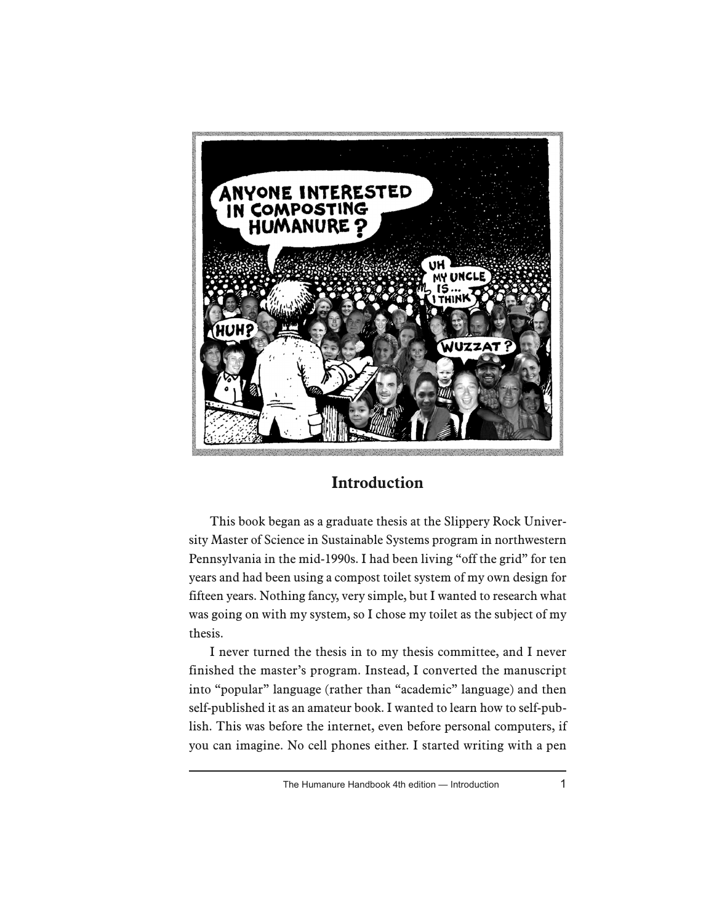

## **Introduction**

 This book began as a graduate thesis at the Slippery Rock University Master of Science in Sustainable Systems program in northwestern Pennsylvania in the mid-1990s. I had been living "off the grid" for ten years and had been using a compost toilet system of my own design for fifteen years. Nothing fancy, very simple, but I wanted to research what was going on with my system, so I chose my toilet as the subject of my thesis.

 I never turned the thesis in to my thesis committee, and I never finished the master's program. Instead, I converted the manuscript into "popular" language (rather than "academic" language) and then self-published it as an amateur book. I wanted to learn how to self-publish. This was before the internet, even before personal computers, if you can imagine. No cell phones either. I started writing with a pen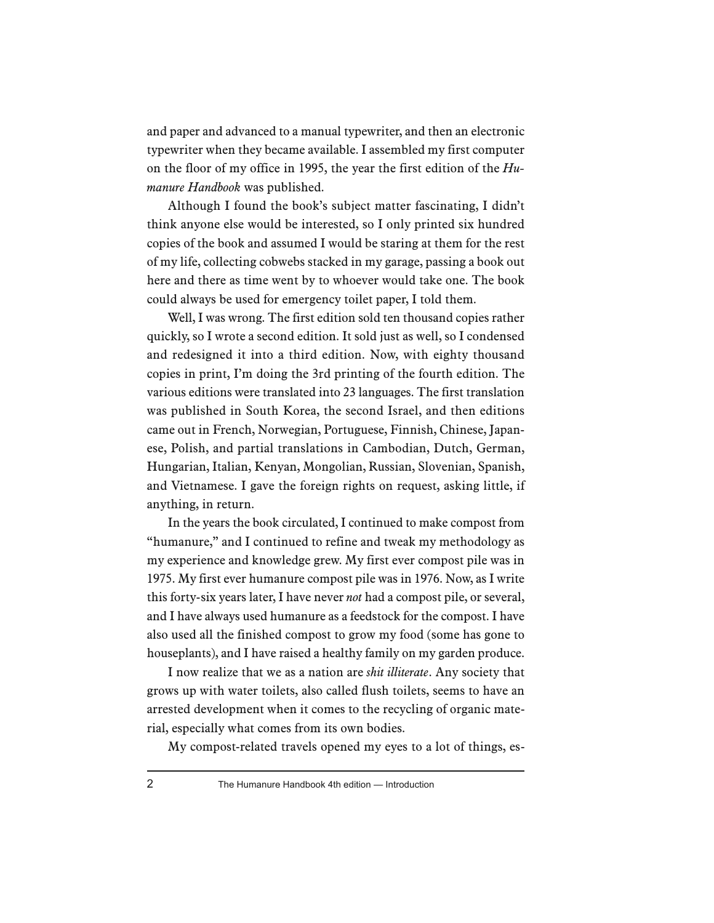and paper and advanced to a manual typewriter, and then an electronic typewriter when they became available. I assembled my first computer on the floor of my office in 1995, the year the first edition of the *Humanure Handbook* was published.

 Although I found the book's subject matter fascinating, I didn't think anyone else would be interested, so I only printed six hundred copies of the book and assumed I would be staring at them for the rest of my life, collecting cobwebs stacked in my garage, passing a book out here and there as time went by to whoever would take one. The book could always be used for emergency toilet paper, I told them.

 Well, I was wrong. The first edition sold ten thousand copies rather quickly, so I wrote a second edition. It sold just as well, so I condensed and redesigned it into a third edition. Now, with eighty thousand copies in print, I'm doing the 3rd printing of the fourth edition. The various editions were translated into 23 languages. The first translation was published in South Korea, the second Israel, and then editions came out in French, Norwegian, Portuguese, Finnish, Chinese, Japanese, Polish, and partial translations in Cambodian, Dutch, German, Hungarian, Italian, Kenyan, Mongolian, Russian, Slovenian, Spanish, and Vietnamese. I gave the foreign rights on request, asking little, if anything, in return.

 In the years the book circulated, I continued to make compost from "humanure," and I continued to refine and tweak my methodology as my experience and knowledge grew. My first ever compost pile was in 1975. My first ever humanure compost pile was in 1976. Now, as I write this forty-six years later, I have never *not* had a compost pile, or several, and I have always used humanure as a feedstock for the compost. I have also used all the finished compost to grow my food (some has gone to houseplants), and I have raised a healthy family on my garden produce.

 I now realize that we as a nation are *shit illiterate*. Any society that grows up with water toilets, also called flush toilets, seems to have an arrested development when it comes to the recycling of organic material, especially what comes from its own bodies.

My compost-related travels opened my eyes to a lot of things, es-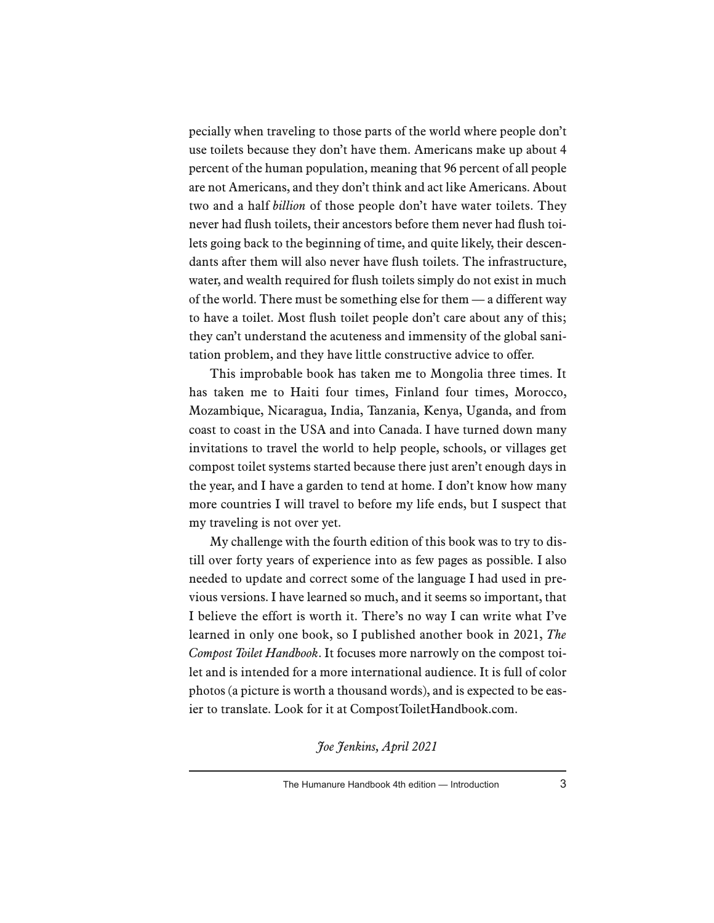pecially when traveling to those parts of the world where people don't use toilets because they don't have them. Americans make up about 4 percent of the human population, meaning that 96 percent of all people are not Americans, and they don't think and act like Americans. About two and a half *billion* of those people don't have water toilets. They never had flush toilets, their ancestors before them never had flush toilets going back to the beginning of time, and quite likely, their descendants after them will also never have flush toilets. The infrastructure, water, and wealth required for flush toilets simply do not exist in much of the world. There must be something else for them — a different way to have a toilet. Most flush toilet people don't care about any of this; they can't understand the acuteness and immensity of the global sanitation problem, and they have little constructive advice to offer.

 This improbable book has taken me to Mongolia three times. It has taken me to Haiti four times, Finland four times, Morocco, Mozambique, Nicaragua, India, Tanzania, Kenya, Uganda, and from coast to coast in the USA and into Canada. I have turned down many invitations to travel the world to help people, schools, or villages get compost toilet systems started because there just aren't enough days in the year, and I have a garden to tend at home. I don't know how many more countries I will travel to before my life ends, but I suspect that my traveling is not over yet.

 My challenge with the fourth edition of this book was to try to distill over forty years of experience into as few pages as possible. I also needed to update and correct some of the language I had used in previous versions. I have learned so much, and it seems so important, that I believe the effort is worth it. There's no way I can write what I've learned in only one book, so I published another book in 2021, *The Compost Toilet Handbook*. It focuses more narrowly on the compost toilet and is intended for a more international audience. It is full of color photos (a picture is worth a thousand words), and is expected to be easier to translate. Look for it at CompostToiletHandbook.com.

## *Joe Jenkins, April 2021*